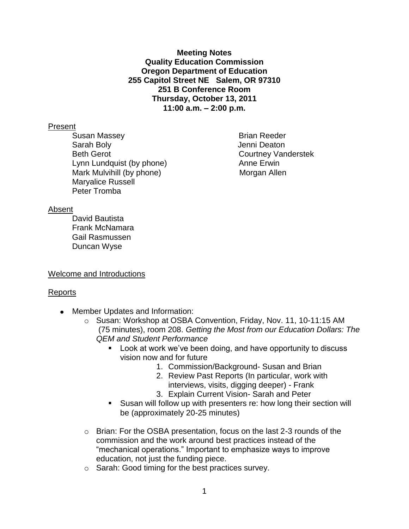**Meeting Notes Quality Education Commission Oregon Department of Education 255 Capitol Street NE Salem, OR 97310 251 B Conference Room Thursday, October 13, 2011 11:00 a.m. – 2:00 p.m.**

#### Present

Susan Massey **Brian Reeder** Sarah Boly **Sarah Boly Jenni Deaton** Beth Gerot Courtney Vanderstek Lynn Lundquist (by phone) Anne Erwin Mark Mulvihill (by phone) Morgan Allen Maryalice Russell Peter Tromba

#### Absent

David Bautista Frank McNamara Gail Rasmussen Duncan Wyse

## Welcome and Introductions

## Reports

- Member Updates and Information:
	- o Susan: Workshop at OSBA Convention, Friday, Nov. 11, 10-11:15 AM (75 minutes), room 208. *Getting the Most from our Education Dollars: The QEM and Student Performance*
		- **Look at work we've been doing, and have opportunity to discuss** vision now and for future
			- 1. Commission/Background- Susan and Brian
			- 2. Review Past Reports (In particular, work with interviews, visits, digging deeper) - Frank
			- 3. Explain Current Vision- Sarah and Peter
		- Susan will follow up with presenters re: how long their section will be (approximately 20-25 minutes)
	- $\circ$  Brian: For the OSBA presentation, focus on the last 2-3 rounds of the commission and the work around best practices instead of the "mechanical operations." Important to emphasize ways to improve education, not just the funding piece.
	- o Sarah: Good timing for the best practices survey.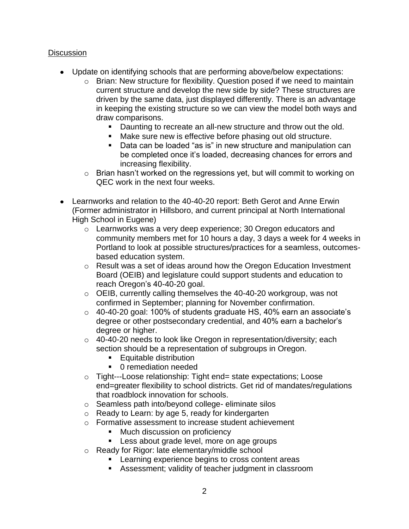# **Discussion**

- Update on identifying schools that are performing above/below expectations:
	- o Brian: New structure for flexibility. Question posed if we need to maintain current structure and develop the new side by side? These structures are driven by the same data, just displayed differently. There is an advantage in keeping the existing structure so we can view the model both ways and draw comparisons.
		- **Daunting to recreate an all-new structure and throw out the old.**
		- Make sure new is effective before phasing out old structure.
		- Data can be loaded "as is" in new structure and manipulation can be completed once it's loaded, decreasing chances for errors and increasing flexibility.
	- o Brian hasn't worked on the regressions yet, but will commit to working on QEC work in the next four weeks.
- Learnworks and relation to the 40-40-20 report: Beth Gerot and Anne Erwin (Former administrator in Hillsboro, and current principal at North International High School in Eugene)
	- o Learnworks was a very deep experience; 30 Oregon educators and community members met for 10 hours a day, 3 days a week for 4 weeks in Portland to look at possible structures/practices for a seamless, outcomesbased education system.
	- o Result was a set of ideas around how the Oregon Education Investment Board (OEIB) and legislature could support students and education to reach Oregon's 40-40-20 goal.
	- o OEIB, currently calling themselves the 40-40-20 workgroup, was not confirmed in September; planning for November confirmation.
	- o 40-40-20 goal: 100% of students graduate HS, 40% earn an associate's degree or other postsecondary credential, and 40% earn a bachelor's degree or higher.
	- o 40-40-20 needs to look like Oregon in representation/diversity; each section should be a representation of subgroups in Oregon.
		- Equitable distribution
		- **0** remediation needed
	- o Tight---Loose relationship: Tight end= state expectations; Loose end=greater flexibility to school districts. Get rid of mandates/regulations that roadblock innovation for schools.
	- o Seamless path into/beyond college- eliminate silos
	- o Ready to Learn: by age 5, ready for kindergarten
	- o Formative assessment to increase student achievement
		- **Much discussion on proficiency**
		- **Less about grade level, more on age groups**
	- o Ready for Rigor: late elementary/middle school
		- **EXEC** Learning experience begins to cross content areas
		- Assessment; validity of teacher judgment in classroom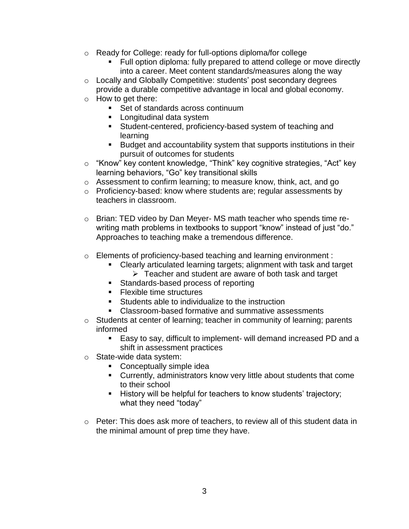- o Ready for College: ready for full-options diploma/for college
	- Full option diploma: fully prepared to attend college or move directly into a career. Meet content standards/measures along the way
- o Locally and Globally Competitive: students' post secondary degrees provide a durable competitive advantage in local and global economy.
- o How to get there:
	- Set of standards across continuum
	- **Longitudinal data system**
	- Student-centered, proficiency-based system of teaching and learning
	- Budget and accountability system that supports institutions in their pursuit of outcomes for students
- o "Know" key content knowledge, "Think" key cognitive strategies, "Act" key learning behaviors, "Go" key transitional skills
- o Assessment to confirm learning; to measure know, think, act, and go
- o Proficiency-based: know where students are; regular assessments by teachers in classroom.
- o Brian: TED video by Dan Meyer- MS math teacher who spends time rewriting math problems in textbooks to support "know" instead of just "do." Approaches to teaching make a tremendous difference.
- o Elements of proficiency-based teaching and learning environment :
	- Clearly articulated learning targets; alignment with task and target  $\triangleright$  Teacher and student are aware of both task and target
	- **Standards-based process of reporting**
	- **Flexible time structures**
	- **Students able to individualize to the instruction**
	- Classroom-based formative and summative assessments
- o Students at center of learning; teacher in community of learning; parents informed
	- Easy to say, difficult to implement- will demand increased PD and a shift in assessment practices
- o State-wide data system:
	- **Conceptually simple idea**
	- Currently, administrators know very little about students that come to their school
	- History will be helpful for teachers to know students' trajectory; what they need "today"
- $\circ$  Peter: This does ask more of teachers, to review all of this student data in the minimal amount of prep time they have.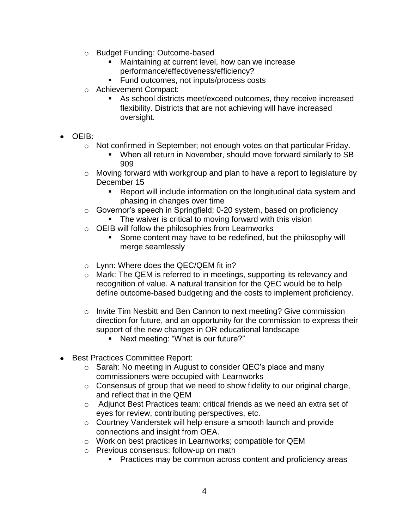- o Budget Funding: Outcome-based
	- Maintaining at current level, how can we increase performance/effectiveness/efficiency?
	- **Fund outcomes, not inputs/process costs**
- o Achievement Compact:
	- As school districts meet/exceed outcomes, they receive increased flexibility. Districts that are not achieving will have increased oversight.
- OEIB:
	- $\circ$  Not confirmed in September; not enough votes on that particular Friday.
		- When all return in November, should move forward similarly to SB 909
	- $\circ$  Moving forward with workgroup and plan to have a report to legislature by December 15
		- Report will include information on the longitudinal data system and phasing in changes over time
	- o Governor's speech in Springfield; 0-20 system, based on proficiency **The waiver is critical to moving forward with this vision**
	- o OEIB will follow the philosophies from Learnworks
		- Some content may have to be redefined, but the philosophy will merge seamlessly
	- o Lynn: Where does the QEC/QEM fit in?
	- o Mark: The QEM is referred to in meetings, supporting its relevancy and recognition of value. A natural transition for the QEC would be to help define outcome-based budgeting and the costs to implement proficiency.
	- $\circ$  Invite Tim Nesbitt and Ben Cannon to next meeting? Give commission direction for future, and an opportunity for the commission to express their support of the new changes in OR educational landscape
		- Next meeting: "What is our future?"
- Best Practices Committee Report:
	- o Sarah: No meeting in August to consider QEC's place and many commissioners were occupied with Learnworks
	- o Consensus of group that we need to show fidelity to our original charge, and reflect that in the QEM
	- o Adjunct Best Practices team: critical friends as we need an extra set of eyes for review, contributing perspectives, etc.
	- o Courtney Vanderstek will help ensure a smooth launch and provide connections and insight from OEA.
	- o Work on best practices in Learnworks; compatible for QEM
	- o Previous consensus: follow-up on math
		- **Practices may be common across content and proficiency areas**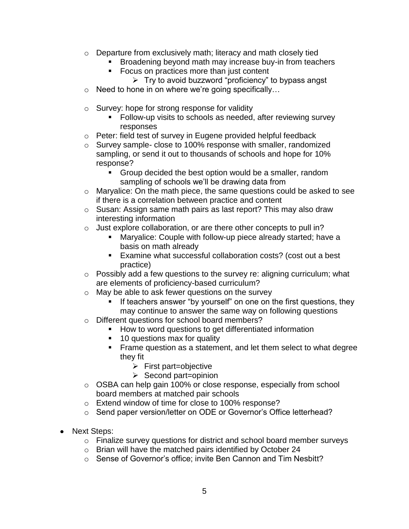- o Departure from exclusively math; literacy and math closely tied
	- Broadening beyond math may increase buy-in from teachers
		- Focus on practices more than just content
			- $\triangleright$  Try to avoid buzzword "proficiency" to bypass angst
- o Need to hone in on where we're going specifically…
- o Survey: hope for strong response for validity
	- Follow-up visits to schools as needed, after reviewing survey responses
- o Peter: field test of survey in Eugene provided helpful feedback
- o Survey sample- close to 100% response with smaller, randomized sampling, or send it out to thousands of schools and hope for 10% response?
	- **Group decided the best option would be a smaller, random** sampling of schools we'll be drawing data from
- o Maryalice: On the math piece, the same questions could be asked to see if there is a correlation between practice and content
- o Susan: Assign same math pairs as last report? This may also draw interesting information
- o Just explore collaboration, or are there other concepts to pull in?
	- Maryalice: Couple with follow-up piece already started; have a basis on math already
	- Examine what successful collaboration costs? (cost out a best practice)
- o Possibly add a few questions to the survey re: aligning curriculum; what are elements of proficiency-based curriculum?
- o May be able to ask fewer questions on the survey
	- **If teachers answer "by yourself" on one on the first questions, they** may continue to answer the same way on following questions
- o Different questions for school board members?
	- **How to word questions to get differentiated information**
	- 10 questions max for quality
	- **Frame question as a statement, and let them select to what degree** they fit
		- $\triangleright$  First part=objective
		- $\triangleright$  Second part=opinion
- o OSBA can help gain 100% or close response, especially from school board members at matched pair schools
- o Extend window of time for close to 100% response?
- o Send paper version/letter on ODE or Governor's Office letterhead?
- Next Steps:
	- o Finalize survey questions for district and school board member surveys
	- o Brian will have the matched pairs identified by October 24
	- o Sense of Governor's office; invite Ben Cannon and Tim Nesbitt?